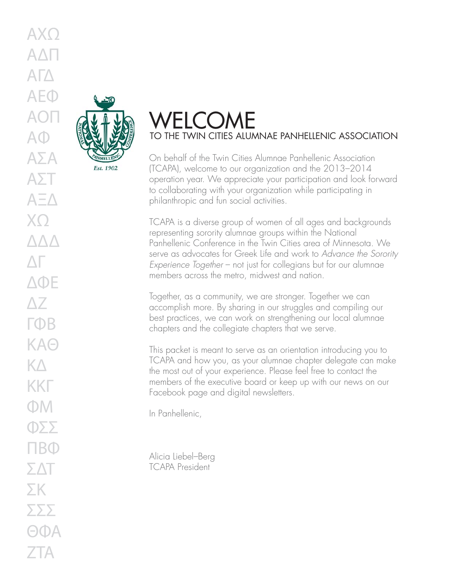

# WELCOME TO THE TWIN CITIES ALUMNAE PANHELLENIC ASSOCIATION

On behalf of the Twin Cities Alumnae Panhellenic Association (TCAPA), welcome to our organization and the 2013–2014 operation year. We appreciate your participation and look forward to collaborating with your organization while participating in philanthropic and fun social activities.

TCAPA is a diverse group of women of all ages and backgrounds representing sorority alumnae groups within the National Panhellenic Conference in the Twin Cities area of Minnesota. We serve as advocates for Greek Life and work to *Advance the Sorority Experience Together* – not just for collegians but for our alumnae members across the metro, midwest and nation.

Together, as a community, we are stronger. Together we can accomplish more. By sharing in our struggles and compiling our best practices, we can work on strengthening our local alumnae chapters and the collegiate chapters that we serve.

This packet is meant to serve as an orientation introducing you to TCAPA and how you, as your alumnae chapter delegate can make the most out of your experience. Please feel free to contact the members of the executive board or keep up with our news on our Facebook page and digital newsletters.

In Panhellenic,

Alicia Liebel–Berg TCAPA President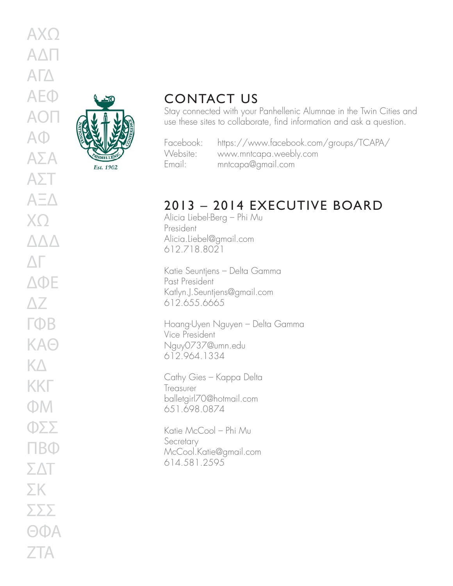

### CONTACT US

Stay connected with your Panhellenic Alumnae in the Twin Cities and use these sites to collaborate, find information and ask a question.

| Facebook |
|----------|
| Website: |
| Email:   |

Facebook: https://www.facebook.com/groups/TCAPA/ www.mntcapa.weebly.com Email: mntcapa@gmail.com

## 2013 – 2014 EXECUTIVE BOARD

Alicia Liebel-Berg – Phi Mu President Alicia.Liebel@gmail.com 612.718.8021

Katie Seuntjens – Delta Gamma Past President Katlyn.J.Seuntjens@gmail.com 612.655.6665

Hoang-Uyen Nguyen – Delta Gamma Vice President Nguy0737@umn.edu 612.964.1334

Cathy Gies – Kappa Delta Treasurer balletgirl70@hotmail.com 651.698.0874

Katie McCool – Phi Mu Secretary McCool.Katie@gmail.com 614.581.2595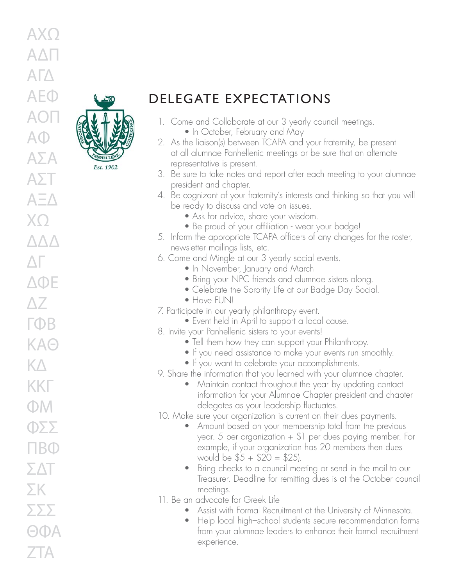

DELEGATE EXPECTATIONS

- 1. Come and Collaborate at our 3 yearly council meetings. • In October, February and May
- 2. As the liaison(s) between TCAPA and your fraternity, be present at all alumnae Panhellenic meetings or be sure that an alternate representative is present.
- 3. Be sure to take notes and report after each meeting to your alumnae president and chapter.
- 4. Be cognizant of your fraternity's interests and thinking so that you will be ready to discuss and vote on issues.
	- Ask for advice, share your wisdom.
	- Be proud of your affiliation wear your badge!
- 5. Inform the appropriate TCAPA officers of any changes for the roster, newsletter mailings lists, etc.
- 6. Come and Mingle at our 3 yearly social events.
	- In November, January and March
	- Bring your NPC friends and alumnae sisters along.
	- Celebrate the Sorority Life at our Badge Day Social.
	- Have FUN!
- 7. Participate in our yearly philanthropy event.
	- Event held in April to support a local cause.
- 8. Invite your Panhellenic sisters to your events!
	- Tell them how they can support your Philanthropy.
	- If you need assistance to make your events run smoothly.
	- If you want to celebrate your accomplishments.
- 9. Share the information that you learned with your alumnae chapter.
	- Maintain contact throughout the year by updating contact information for your Alumnae Chapter president and chapter delegates as your leadership fluctuates.
- 10. Make sure your organization is current on their dues payments.
	- Amount based on your membership total from the previous year. 5 per organization + \$1 per dues paying member. For example, if your organization has 20 members then dues would be  $$5 + $20 = $25$ ).
	- Bring checks to a council meeting or send in the mail to our Treasurer. Deadline for remitting dues is at the October council meetings.
- 11. Be an advocate for Greek Life
	- Assist with Formal Recruitment at the University of Minnesota.
	- Help local high-school students secure recommendation forms from your alumnae leaders to enhance their formal recruitment experience.